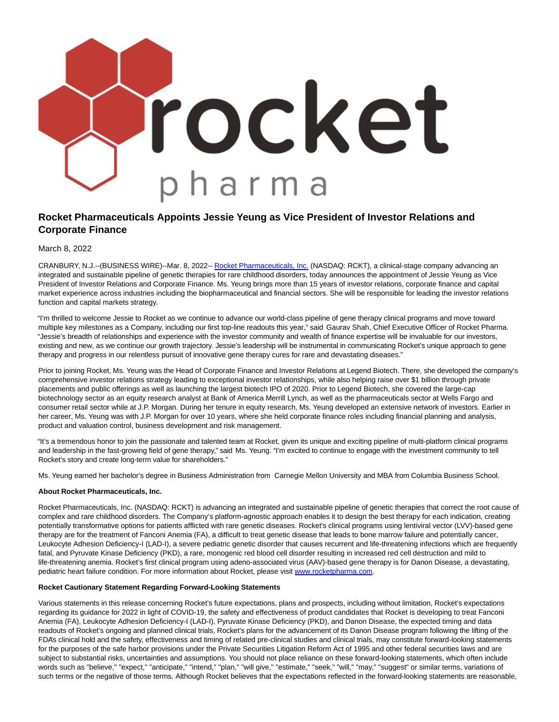

## **Rocket Pharmaceuticals Appoints Jessie Yeung as Vice President of Investor Relations and Corporate Finance**

March 8, 2022

CRANBURY, N.J.--(BUSINESS WIRE)--Mar. 8, 2022-- [Rocket Pharmaceuticals, Inc. \(](https://cts.businesswire.com/ct/CT?id=smartlink&url=https%3A%2F%2Frocketpharma.com%2F&esheet=52591157&newsitemid=20220308005474&lan=en-US&anchor=Rocket+Pharmaceuticals%2C+Inc.&index=1&md5=6e9d0596843e0ef29210aa2b0abf18dc)NASDAQ: RCKT), a clinical-stage company advancing an integrated and sustainable pipeline of genetic therapies for rare childhood disorders, today announces the appointment of Jessie Yeung as Vice President of Investor Relations and Corporate Finance. Ms. Yeung brings more than 15 years of investor relations, corporate finance and capital market experience across industries including the biopharmaceutical and financial sectors. She will be responsible for leading the investor relations function and capital markets strategy.

"I'm thrilled to welcome Jessie to Rocket as we continue to advance our world-class pipeline of gene therapy clinical programs and move toward multiple key milestones as a Company, including our first top-line readouts this year," said Gaurav Shah, Chief Executive Officer of Rocket Pharma. "Jessie's breadth of relationships and experience with the investor community and wealth of finance expertise will be invaluable for our investors, existing and new, as we continue our growth trajectory. Jessie's leadership will be instrumental in communicating Rocket's unique approach to gene therapy and progress in our relentless pursuit of innovative gene therapy cures for rare and devastating diseases."

Prior to joining Rocket, Ms. Yeung was the Head of Corporate Finance and Investor Relations at Legend Biotech. There, she developed the company's comprehensive investor relations strategy leading to exceptional investor relationships, while also helping raise over \$1 billion through private placements and public offerings as well as launching the largest biotech IPO of 2020. Prior to Legend Biotech, she covered the large-cap biotechnology sector as an equity research analyst at Bank of America Merrill Lynch, as well as the pharmaceuticals sector at Wells Fargo and consumer retail sector while at J.P. Morgan. During her tenure in equity research, Ms. Yeung developed an extensive network of investors. Earlier in her career, Ms. Yeung was with J.P. Morgan for over 10 years, where she held corporate finance roles including financial planning and analysis, product and valuation control, business development and risk management.

"It's a tremendous honor to join the passionate and talented team at Rocket, given its unique and exciting pipeline of multi-platform clinical programs and leadership in the fast-growing field of gene therapy," said Ms. Yeung. "I'm excited to continue to engage with the investment community to tell Rocket's story and create long-term value for shareholders."

Ms. Yeung earned her bachelor's degree in Business Administration from Carnegie Mellon University and MBA from Columbia Business School.

## **About Rocket Pharmaceuticals, Inc.**

Rocket Pharmaceuticals, Inc. (NASDAQ: RCKT) is advancing an integrated and sustainable pipeline of genetic therapies that correct the root cause of complex and rare childhood disorders. The Company's platform-agnostic approach enables it to design the best therapy for each indication, creating potentially transformative options for patients afflicted with rare genetic diseases. Rocket's clinical programs using lentiviral vector (LVV)-based gene therapy are for the treatment of Fanconi Anemia (FA), a difficult to treat genetic disease that leads to bone marrow failure and potentially cancer, Leukocyte Adhesion Deficiency-I (LAD-I), a severe pediatric genetic disorder that causes recurrent and life-threatening infections which are frequently fatal, and Pyruvate Kinase Deficiency (PKD), a rare, monogenic red blood cell disorder resulting in increased red cell destruction and mild to life-threatening anemia. Rocket's first clinical program using adeno-associated virus (AAV)-based gene therapy is for Danon Disease, a devastating, pediatric heart failure condition. For more information about Rocket, please visit [www.rocketpharma.com.](https://cts.businesswire.com/ct/CT?id=smartlink&url=http%3A%2F%2Fwww.rocketpharma.com&esheet=52591157&newsitemid=20220308005474&lan=en-US&anchor=www.rocketpharma.com&index=2&md5=0255b5a7b5ead51cf5df21d9e00c6d39)

## **Rocket Cautionary Statement Regarding Forward-Looking Statements**

Various statements in this release concerning Rocket's future expectations, plans and prospects, including without limitation, Rocket's expectations regarding its guidance for 2022 in light of COVID-19, the safety and effectiveness of product candidates that Rocket is developing to treat Fanconi Anemia (FA), Leukocyte Adhesion Deficiency-I (LAD-I), Pyruvate Kinase Deficiency (PKD), and Danon Disease, the expected timing and data readouts of Rocket's ongoing and planned clinical trials, Rocket's plans for the advancement of its Danon Disease program following the lifting of the FDA's clinical hold and the safety, effectiveness and timing of related pre-clinical studies and clinical trials, may constitute forward-looking statements for the purposes of the safe harbor provisions under the Private Securities Litigation Reform Act of 1995 and other federal securities laws and are subject to substantial risks, uncertainties and assumptions. You should not place reliance on these forward-looking statements, which often include words such as "believe," "expect," "anticipate," "intend," "plan," "will give," "estimate," "seek," "will," "may," "suggest" or similar terms, variations of such terms or the negative of those terms. Although Rocket believes that the expectations reflected in the forward-looking statements are reasonable,